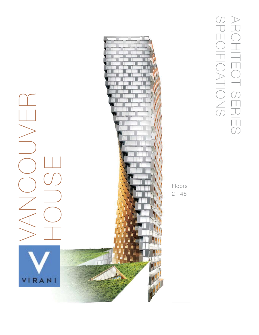

ARCHITECT SERIES<br>SPECIFICATIONS ARCHITECT SERIES SPECIFICATIONS

Floors  $2 - 46$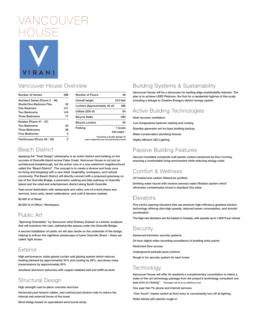

# Vancouver House Overview

| Number of Homes                  | 388 |
|----------------------------------|-----|
| Architect Series (Floors 2 - 46) |     |
| Studio/One Bedroom Flex          | 52  |
| One Bedroom                      | 121 |
| Two Bedrooms                     | 143 |
| <b>Three Bedrooms</b>            | 17  |
| Estates (Floors 47 - 57)         |     |
| Two Bedrooms                     | 20  |
| <b>Three Bedrooms</b>            | 28  |
| <b>Four Bedrooms</b>             | 2   |
| Penthouses (Floors 58 - 59)      | 5   |

| Number of Floors              | 59                       |
|-------------------------------|--------------------------|
| Overall height                | 515 feet                 |
| Lockers (Approximately 40 sf) | 389                      |
| Cellars (200 sf)              | 64                       |
| <b>Bicycle Stalls</b>         | 485                      |
| <b>Bicycle Lockers</b>        | 92                       |
| Parking                       | 7 levels<br>440 stalls * |
|                               |                          |

**\*Including a double garage for each subpenthouse and penthouse home**

# Beach District

**Applying the "Total Design" philosophy to an entire district and building on the success of Granville Island across False Creek, Vancouver House is not just an architectural breakthrough, but the active core of a new waterfront neighbourhood called the "Beach District". The concept is to create a diverse and lively zone for living and shopping with a new retail, hospitality, workspace, and cultural community. The Beach District will directly connect with a proposed greenway on top of the Granville Bridge, a panoramic walking and bike pathway to Granville Island and the retail and entertainment district along South Granville.** 

**Year-round destination with restaurants and cafes, one-of-a-kind shops and services, food carts, street celebrations and craft & farmers markets** 

**60,000 sf of Retail**

**80,000 sf of Office / Workspace**

## Public Art

**"Spinning Chandelier," by Vancouver artist Rodney Graham is a kinetic sculpture that will transform the vast, cathedral-like spaces under the Granville Bridge.** 

**A second installation of public art will also reside on the underside of the bridge, helping to enliven the nighttime streetscape of lower Granville Street – these are called 'light boxes.'**

#### Exterior

**High performance, triple-glazed curtain wall glazing system which reduces heating demand by approximately 34% and cooling by 28%, and drops noise transmissions by approximately 50%**

**Anodized aluminum balconies with copper-cladded wall and soffit accents**

# Structural Design

**High strength cast-in-place concrete structure**

**Horizontal post-tension cables, and vertical post-tension rods to reduce the internal and external forces of the tower**

**Wind design based on specialized wind tunnel study**

# Building Systems & Sustainability

**Vancouver House will be a showcase for leading edge sustainability features. The plan is to achieve LEED Platinum, the first for a residential highrise of this scale, including a linkage to Creative Energy's district energy system.** 

## Active Building Technologies

**Heat recovery ventilation Low temperature hydronic heating and cooling Standby generator set for base building backup Water conservation plumbing fixtures Highly efficient LED Lighting**

# Passive Building Features

**Vacuum-insulated composite wall panels custom-produced by Dow Corning, ensuring a comfortable living environment while reducing energy costs**

# Comfort & Wellness

**UV treated and carbon-filtered air purifiers**

**Drinking water faucet with reverse osmosis water filtration system which eliminates contaminates found in standard City water**

## Elevators

**Five centre opening elevators that use premium high-efficiency gearless traction technology offering ultra-high speeds, reduced power consumption, and smooth acceleration**

**The high-rise elevators are the fastest in Canada, with speeds up to 1,600 ft per minute**

#### Security

**Advanced biometric security systems**

**24-hour digital video recording surveillance of building entry points**

**Restricted floor access**

**Underground parkade panic buttons**

**Rough in for security system for each home**

# Technology

**Vancouver House will offer its residents a complimentary consultation to select a state-of-the-art technology package from the project's technology consultant one year prior to closing\*. \*Packages will be at an additional cost**

**One year free TV, phone and internet services**

**"One-Touch" master switch at front entry to conveniently turn off all lighting**

**Roller blinds with electric rough-in**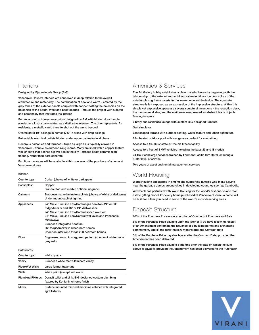#### Interiors

#### **Designed by Bjarke Ingels Group (BIG)**

**Vancouver House's interiors are conceived in deep relation to the overall architecture and materiality. The combination of cool and warm – created by the gray tones of the exterior panels coupled with copper dotting the balconies on the balconies of the South, West and East facades – imbues the project with a depth and personality that infiltrates the interior.** 

**Entrance door to homes are custom designed by BIG with hidden door handle (similar to a luxury car) created as a distinctive element. The door represents, for residents, a metallic vault, there to shut out the world beyond.**

**Overheight 8'10" ceilings in homes (7'6" in areas with drop ceilings)**

**Retractable electrical outlets hidden under upper cabinetry in kitchens**

**Generous balconies and terraces – twice as large as is typically allowed in Vancouver – double as outdoor living rooms. Many are lined with a copper feature wall or soffit that defines a jewel box in the sky. Terraces boast ceramic tiled flooring, rather than bare concrete**

**Furniture packages will be available within one year of the purchase of a home at Vancouver House**

#### **Kitchen**

| Corian (choice of white or dark grey)                                                           |
|-------------------------------------------------------------------------------------------------|
| Copper                                                                                          |
| Bianco Statuario marble optional upgrade                                                        |
| European matte-laminate cabinets (choice of white or dark grey)<br>Under mount cabinet lighting |
| 24" Miele PureLine EasyControl gas cooktop, 24" or 30"                                          |
| fridge/freezer and 18" or 24" dishwasher                                                        |
| 24" Miele PureLine EasyControl speed oven or;                                                   |
| 24" Miele PureLine EasyControl wall oven and Panasonic<br>microwave                             |
| European integrated hoodfan                                                                     |
| 36" fridge/freezer in 3 bedroom homes                                                           |
| Under counter wine fridge in 3 bedroom homes                                                    |
| Engineered wood in staggered pattern (choice of white oak or<br>grey oak)                       |
|                                                                                                 |

**Bathrooms**

| Countertops              | White quartz                                                                                 |
|--------------------------|----------------------------------------------------------------------------------------------|
| Vanity                   | European white matte-laminate vanity                                                         |
| <b>Floor/Wet Walls</b>   | Large format travertine                                                                      |
| Walls                    | White paint (except wet walls)                                                               |
| <b>Plumbing Fixtures</b> | Duravit toilet and sink, BIG-designed custom plumbing<br>fixtures by Kohler in chrome finish |
| Mirror                   | Surface mounted mirrored medicine cabinet with integrated<br>light fixtures                  |

Amenities & Services

**The Art Gallery Lobby establishes a clear material hierarchy beginning with the relationship to the exterior and architectural materiality – the cool colors of the exterior glazing frame inverts to the warm colors on the inside. The concrete structure is left exposed as an expression of the impressive structure. Within this simple yet expressive space are several sculptural inventions – the reception desk, the monumental stair, and the mailboxes – expressed as abstract black objects floating in space.**

**Library and resident's lounge with custom BIG-designed furniture**

**Golf simulator** 

**Landscaped terrace with outdoor seating, water feature and urban agriculture**

**25m heated outdoor pool with lounge area perfect for sunbathing**

**Access to a 10,000 sf state-of-the-art fitness facility**

**Access to a fleet of BMW vehicles including the latest i3 and i8 models**

**24-Hour concierge services trained by Fairmont Pacific Rim Hotel, ensuring a 5-star level of service**

**Two years of asset and rental management services** 

## World Housing

**World Housing specializes in finding and supporting families who make a living near the garbage dumps around cities in developing countries such as Cambodia.**

**Westbank has partnered with World Housing for the world's first one-to-one real estate gifting model. For every home purchased at Vancouver House, a home will be built for a family in need in some of the world's most deserving areas.** 

# Deposit Structure

**10% of the Purchase Price upon execution of Contract of Purchase and Sale**

**5% of the Purchase Price payable upon the later of (i) 30-days following receipt of an Amendment confirming the issuance of a building permit and a financing commitment, and (ii) the date that is 6-months after the Contract date**

**5% of the Purchase Price payable 1-year after the Contract Date, provided the Amendment has been delivered**

**5% of the Purchase Price payable 6-months after the date on which the sum above is payable, provided the Amendment has been delivered to the Purchaser**